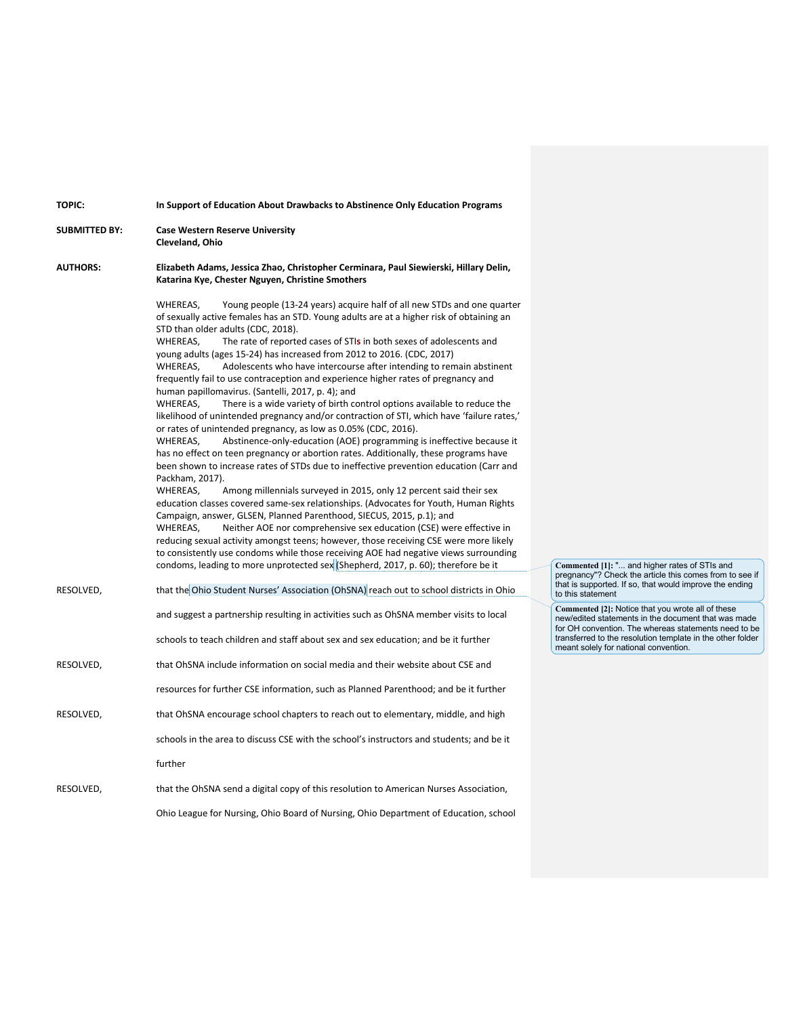| <b>TOPIC:</b>        | In Support of Education About Drawbacks to Abstinence Only Education Programs                                                                                                                                                                                                                                                                                                                                                                                                                                                                                                                                                                                                                                                                                                                                                                                                                                                                                                                                                                                                                                                                                                                                                                                                                                                                                                                                                                                                                                                                                                                                                                                                                                                                                                |                                                                                                                                                                  |
|----------------------|------------------------------------------------------------------------------------------------------------------------------------------------------------------------------------------------------------------------------------------------------------------------------------------------------------------------------------------------------------------------------------------------------------------------------------------------------------------------------------------------------------------------------------------------------------------------------------------------------------------------------------------------------------------------------------------------------------------------------------------------------------------------------------------------------------------------------------------------------------------------------------------------------------------------------------------------------------------------------------------------------------------------------------------------------------------------------------------------------------------------------------------------------------------------------------------------------------------------------------------------------------------------------------------------------------------------------------------------------------------------------------------------------------------------------------------------------------------------------------------------------------------------------------------------------------------------------------------------------------------------------------------------------------------------------------------------------------------------------------------------------------------------------|------------------------------------------------------------------------------------------------------------------------------------------------------------------|
| <b>SUBMITTED BY:</b> | <b>Case Western Reserve University</b><br>Cleveland, Ohio                                                                                                                                                                                                                                                                                                                                                                                                                                                                                                                                                                                                                                                                                                                                                                                                                                                                                                                                                                                                                                                                                                                                                                                                                                                                                                                                                                                                                                                                                                                                                                                                                                                                                                                    |                                                                                                                                                                  |
| <b>AUTHORS:</b>      | Elizabeth Adams, Jessica Zhao, Christopher Cerminara, Paul Siewierski, Hillary Delin,<br>Katarina Kye, Chester Nguyen, Christine Smothers                                                                                                                                                                                                                                                                                                                                                                                                                                                                                                                                                                                                                                                                                                                                                                                                                                                                                                                                                                                                                                                                                                                                                                                                                                                                                                                                                                                                                                                                                                                                                                                                                                    |                                                                                                                                                                  |
|                      | WHEREAS,<br>Young people (13-24 years) acquire half of all new STDs and one quarter<br>of sexually active females has an STD. Young adults are at a higher risk of obtaining an<br>STD than older adults (CDC, 2018).<br>WHEREAS,<br>The rate of reported cases of STIs in both sexes of adolescents and<br>young adults (ages 15-24) has increased from 2012 to 2016. (CDC, 2017)<br>Adolescents who have intercourse after intending to remain abstinent<br>WHEREAS,<br>frequently fail to use contraception and experience higher rates of pregnancy and<br>human papillomavirus. (Santelli, 2017, p. 4); and<br>WHEREAS.<br>There is a wide variety of birth control options available to reduce the<br>likelihood of unintended pregnancy and/or contraction of STI, which have 'failure rates,'<br>or rates of unintended pregnancy, as low as 0.05% (CDC, 2016).<br>Abstinence-only-education (AOE) programming is ineffective because it<br>WHEREAS,<br>has no effect on teen pregnancy or abortion rates. Additionally, these programs have<br>been shown to increase rates of STDs due to ineffective prevention education (Carr and<br>Packham, 2017).<br>WHEREAS,<br>Among millennials surveyed in 2015, only 12 percent said their sex<br>education classes covered same-sex relationships. (Advocates for Youth, Human Rights<br>Campaign, answer, GLSEN, Planned Parenthood, SIECUS, 2015, p.1); and<br>WHEREAS,<br>Neither AOE nor comprehensive sex education (CSE) were effective in<br>reducing sexual activity amongst teens; however, those receiving CSE were more likely<br>to consistently use condoms while those receiving AOE had negative views surrounding<br>condoms, leading to more unprotected sex (Shepherd, 2017, p. 60); therefore be it | Commented [1]: " and higher rates of STIs and                                                                                                                    |
| RESOLVED,            | that the Ohio Student Nurses' Association (OhSNA) reach out to school districts in Ohio                                                                                                                                                                                                                                                                                                                                                                                                                                                                                                                                                                                                                                                                                                                                                                                                                                                                                                                                                                                                                                                                                                                                                                                                                                                                                                                                                                                                                                                                                                                                                                                                                                                                                      | pregnancy"? Check the article this comes from to see if<br>that is supported. If so, that would improve the ending<br>to this statement                          |
|                      | and suggest a partnership resulting in activities such as OhSNA member visits to local                                                                                                                                                                                                                                                                                                                                                                                                                                                                                                                                                                                                                                                                                                                                                                                                                                                                                                                                                                                                                                                                                                                                                                                                                                                                                                                                                                                                                                                                                                                                                                                                                                                                                       | Commented [2]: Notice that you wrote all of these<br>new/edited statements in the document that was made<br>for OH convention. The whereas statements need to be |
|                      | schools to teach children and staff about sex and sex education; and be it further                                                                                                                                                                                                                                                                                                                                                                                                                                                                                                                                                                                                                                                                                                                                                                                                                                                                                                                                                                                                                                                                                                                                                                                                                                                                                                                                                                                                                                                                                                                                                                                                                                                                                           | transferred to the resolution template in the other folder<br>meant solely for national convention.                                                              |
| RESOLVED,            | that OhSNA include information on social media and their website about CSE and                                                                                                                                                                                                                                                                                                                                                                                                                                                                                                                                                                                                                                                                                                                                                                                                                                                                                                                                                                                                                                                                                                                                                                                                                                                                                                                                                                                                                                                                                                                                                                                                                                                                                               |                                                                                                                                                                  |
|                      | resources for further CSE information, such as Planned Parenthood; and be it further                                                                                                                                                                                                                                                                                                                                                                                                                                                                                                                                                                                                                                                                                                                                                                                                                                                                                                                                                                                                                                                                                                                                                                                                                                                                                                                                                                                                                                                                                                                                                                                                                                                                                         |                                                                                                                                                                  |
| RESOLVED,            | that OhSNA encourage school chapters to reach out to elementary, middle, and high                                                                                                                                                                                                                                                                                                                                                                                                                                                                                                                                                                                                                                                                                                                                                                                                                                                                                                                                                                                                                                                                                                                                                                                                                                                                                                                                                                                                                                                                                                                                                                                                                                                                                            |                                                                                                                                                                  |
|                      | schools in the area to discuss CSE with the school's instructors and students; and be it                                                                                                                                                                                                                                                                                                                                                                                                                                                                                                                                                                                                                                                                                                                                                                                                                                                                                                                                                                                                                                                                                                                                                                                                                                                                                                                                                                                                                                                                                                                                                                                                                                                                                     |                                                                                                                                                                  |
|                      | further                                                                                                                                                                                                                                                                                                                                                                                                                                                                                                                                                                                                                                                                                                                                                                                                                                                                                                                                                                                                                                                                                                                                                                                                                                                                                                                                                                                                                                                                                                                                                                                                                                                                                                                                                                      |                                                                                                                                                                  |
| RESOLVED,            | that the OhSNA send a digital copy of this resolution to American Nurses Association,                                                                                                                                                                                                                                                                                                                                                                                                                                                                                                                                                                                                                                                                                                                                                                                                                                                                                                                                                                                                                                                                                                                                                                                                                                                                                                                                                                                                                                                                                                                                                                                                                                                                                        |                                                                                                                                                                  |
|                      | Ohio League for Nursing, Ohio Board of Nursing, Ohio Department of Education, school                                                                                                                                                                                                                                                                                                                                                                                                                                                                                                                                                                                                                                                                                                                                                                                                                                                                                                                                                                                                                                                                                                                                                                                                                                                                                                                                                                                                                                                                                                                                                                                                                                                                                         |                                                                                                                                                                  |